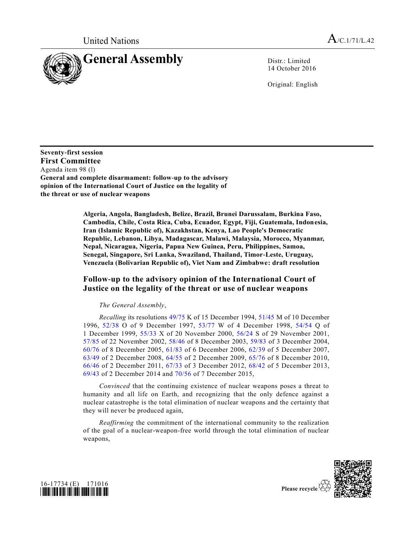

14 October 2016

Original: English

**Seventy-first session First Committee** Agenda item 98 (l) **General and complete disarmament: follow-up to the advisory opinion of the International Court of Justice on the legality of the threat or use of nuclear weapons**

> **Algeria, Angola, Bangladesh, Belize, Brazil, Brunei Darussalam, Burkina Faso, Cambodia, Chile, Costa Rica, Cuba, Ecuador, Egypt, Fiji, Guatemala, Indonesia, Iran (Islamic Republic of), Kazakhstan, Kenya, Lao People's Democratic Republic, Lebanon, Libya, Madagascar, Malawi, Malaysia, Morocco, Myanmar, Nepal, Nicaragua, Nigeria, Papua New Guinea, Peru, Philippines, Samoa, Senegal, Singapore, Sri Lanka, Swaziland, Thailand, Timor-Leste, Uruguay, Venezuela (Bolivarian Republic of), Viet Nam and Zimbabwe: draft resolution**

## **Follow-up to the advisory opinion of the International Court of Justice on the legality of the threat or use of nuclear weapons**

## *The General Assembly*,

*Recalling* its resolutions [49/75](http://undocs.org/A/RES/49/75) K of 15 December 1994, [51/45](http://undocs.org/A/RES/51/45) M of 10 December 1996, [52/38](http://undocs.org/A/RES/52/38) O of 9 December 1997, [53/77](http://undocs.org/A/RES/53/77) W of 4 December 1998, [54/54](http://undocs.org/A/RES/54/54) Q of 1 December 1999, [55/33](http://undocs.org/A/RES/55/33) X of 20 November 2000, [56/24](http://undocs.org/A/RES/56/24) S of 29 November 2001, [57/85](http://undocs.org/A/RES/57/85) of 22 November 2002, [58/46](http://undocs.org/A/RES/58/46) of 8 December 2003, [59/83](http://undocs.org/A/RES/59/83) of 3 December 2004, [60/76](http://undocs.org/A/RES/60/76) of 8 December 2005, [61/83](http://undocs.org/A/RES/61/83) of 6 December 2006, [62/39](http://undocs.org/A/RES/62/39) of 5 December 2007, [63/49](http://undocs.org/A/RES/63/49) of 2 December 2008, [64/55](http://undocs.org/A/RES/64/55) of 2 December 2009, [65/76](http://undocs.org/A/RES/65/76) of 8 December 2010, [66/46](http://undocs.org/A/RES/66/46) of 2 December 2011, [67/33](http://undocs.org/A/RES/67/33) of 3 December 2012, [68/42](http://undocs.org/A/RES/68/42) of 5 December 2013, [69/43](http://undocs.org/A/RES/69/43) of 2 December 2014 and [70/56](http://undocs.org/A/RES/70/56) of 7 December 2015,

*Convinced* that the continuing existence of nuclear weapons poses a threat to humanity and all life on Earth, and recognizing that the only defence against a nuclear catastrophe is the total elimination of nuclear weapons and the certainty that they will never be produced again,

*Reaffirming* the commitment of the international community to the realization of the goal of a nuclear-weapon-free world through the total elimination of nuclear weapons,





Please recycle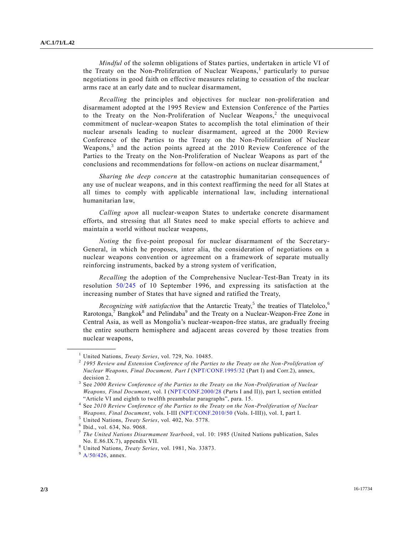*Mindful* of the solemn obligations of States parties, undertaken in article VI of the Treaty on the Non-Proliferation of Nuclear Weapons,<sup>1</sup> particularly to pursue negotiations in good faith on effective measures relating to cessation of the nuclear arms race at an early date and to nuclear disarmament,

*Recalling* the principles and objectives for nuclear non-proliferation and disarmament adopted at the 1995 Review and Extension Conference of the Parties to the Treaty on the Non-Proliferation of Nuclear Weapons,<sup>2</sup> the unequivocal commitment of nuclear-weapon States to accomplish the total elimination of their nuclear arsenals leading to nuclear disarmament, agreed at the 2000 Review Conference of the Parties to the Treaty on the Non-Proliferation of Nuclear Weapons,<sup>3</sup> and the action points agreed at the 2010 Review Conference of the Parties to the Treaty on the Non-Proliferation of Nuclear Weapons as part of the conclusions and recommendations for follow-on actions on nuclear disarmament,<sup>4</sup>

*Sharing the deep concern* at the catastrophic humanitarian consequences of any use of nuclear weapons, and in this context reaffirming the need for all States at all times to comply with applicable international law, including international humanitarian law,

*Calling upon* all nuclear-weapon States to undertake concrete disarmament efforts, and stressing that all States need to make special efforts to achieve and maintain a world without nuclear weapons,

*Noting* the five-point proposal for nuclear disarmament of the Secretary-General, in which he proposes, inter alia, the consideration of negotiations on a nuclear weapons convention or agreement on a framework of separate mutually reinforcing instruments, backed by a strong system of verification,

*Recalling* the adoption of the Comprehensive Nuclear-Test-Ban Treaty in its resolution [50/245](http://undocs.org/A/RES/50/245) of 10 September 1996, and expressing its satisfaction at the increasing number of States that have signed and ratified the Treaty,

Recognizing with satisfaction that the Antarctic Treaty,<sup>5</sup> the treaties of Tlatelolco,<sup>6</sup> Rarotonga,<sup>7</sup> Bangkok<sup>8</sup> and Pelindaba<sup>9</sup> and the Treaty on a Nuclear-Weapon-Free Zone in Central Asia, as well as Mongolia's nuclear-weapon-free status, are gradually freeing the entire southern hemisphere and adjacent areas covered by those treaties from nuclear weapons,

**\_\_\_\_\_\_\_\_\_\_\_\_\_\_\_\_\_\_**

<sup>1</sup> United Nations, *Treaty Series*, vol. 729, No. 10485.

<sup>2</sup> *1995 Review and Extension Conference of the Parties to the Treaty on the Non -Proliferation of Nuclear Weapons, Final Document, Part I* [\(NPT/CONF.1995/32](http://undocs.org/NPT/CONF.1995/32) (Part I) and Corr.2), annex, decision 2.

<sup>3</sup> See *2000 Review Conference of the Parties to the Treaty on the Non-Proliferation of Nuclear Weapons, Final Document*, vol. I [\(NPT/CONF.2000/28](http://undocs.org/NPT/CONF.2000/28) (Parts I and II)), part I, section entitled "Article VI and eighth to twelfth preambular paragraphs", para. 15.

<sup>4</sup> See *2010 Review Conference of the Parties to the Treaty on the Non-Proliferation of Nuclear Weapons, Final Document*, vols. I-III [\(NPT/CONF.2010/50](http://undocs.org/NPT/CONF.2010/50) (Vols. I-III)), vol. I, part I.

<sup>5</sup> United Nations, *Treaty Series*, vol. 402, No. 5778.

<sup>6</sup> Ibid., vol. 634, No. 9068.

<sup>7</sup> *The United Nations Disarmament Yearbook*, vol. 10: 1985 (United Nations publication, Sales No. E.86.IX.7), appendix VII.

<sup>8</sup> United Nations, *Treaty Series*, vol. 1981, No. 33873.

 $9$  [A/50/426,](http://undocs.org/A/50/426) annex.